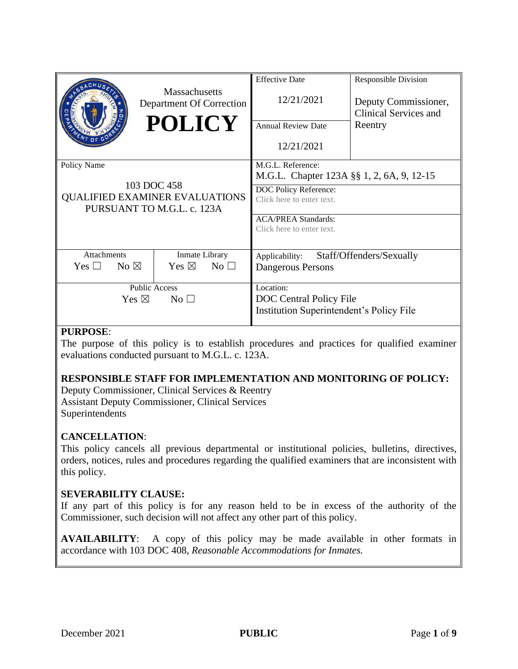|                                                                                                   | <b>Massachusetts</b><br>Department Of Correction<br><b>POLICY</b> | <b>Effective Date</b><br>12/21/2021<br><b>Annual Review Date</b><br>12/21/2021                                                                                                  | <b>Responsible Division</b><br>Deputy Commissioner,<br><b>Clinical Services and</b><br>Reentry |
|---------------------------------------------------------------------------------------------------|-------------------------------------------------------------------|---------------------------------------------------------------------------------------------------------------------------------------------------------------------------------|------------------------------------------------------------------------------------------------|
| Policy Name<br>103 DOC 458<br><b>QUALIFIED EXAMINER EVALUATIONS</b><br>PURSUANT TO M.G.L. c. 123A |                                                                   | M.G.L. Reference:<br>M.G.L. Chapter 123A §§ 1, 2, 6A, 9, 12-15<br>DOC Policy Reference:<br>Click here to enter text.<br><b>ACA/PREA Standards:</b><br>Click here to enter text. |                                                                                                |
| <b>Attachments</b><br>No $\boxtimes$<br>$Yes \; \Box$                                             | Inmate Library<br>Yes $\boxtimes$<br>No <sub>1</sub>              | Staff/Offenders/Sexually<br>Applicability:<br>Dangerous Persons                                                                                                                 |                                                                                                |
|                                                                                                   |                                                                   |                                                                                                                                                                                 |                                                                                                |
| <b>Public Access</b><br>Yes $\boxtimes$<br>$\rm No \,\,\square$                                   |                                                                   | Location:<br><b>DOC</b> Central Policy File<br><b>Institution Superintendent's Policy File</b>                                                                                  |                                                                                                |

# **PURPOSE**:

The purpose of this policy is to establish procedures and practices for qualified examiner evaluations conducted pursuant to M.G.L. c. 123A.

# **RESPONSIBLE STAFF FOR IMPLEMENTATION AND MONITORING OF POLICY:**

Deputy Commissioner, Clinical Services & Reentry Assistant Deputy Commissioner, Clinical Services Superintendents

#### **CANCELLATION**:

This policy cancels all previous departmental or institutional policies, bulletins, directives, orders, notices, rules and procedures regarding the qualified examiners that are inconsistent with this policy.

#### **SEVERABILITY CLAUSE:**

If any part of this policy is for any reason held to be in excess of the authority of the Commissioner, such decision will not affect any other part of this policy.

**AVAILABILITY**: A copy of this policy may be made available in other formats in accordance with 103 DOC 408, *Reasonable Accommodations for Inmates.*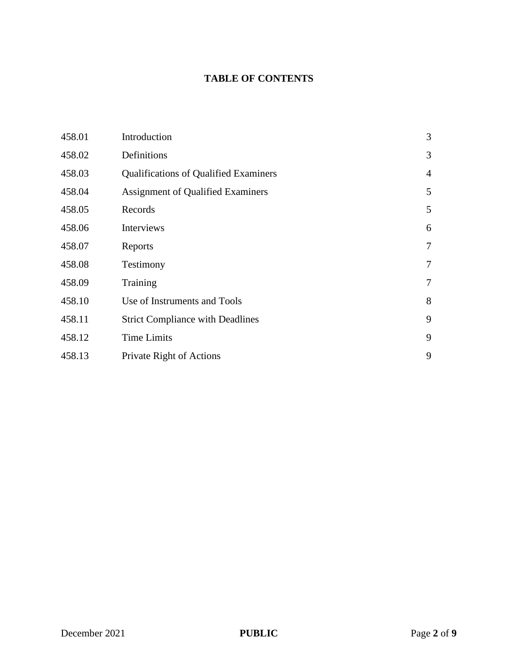# **TABLE OF CONTENTS**

| 458.01 | Introduction                                 | $\mathfrak{Z}$ |
|--------|----------------------------------------------|----------------|
| 458.02 | Definitions                                  | 3              |
| 458.03 | <b>Qualifications of Qualified Examiners</b> | $\overline{4}$ |
| 458.04 | <b>Assignment of Qualified Examiners</b>     | 5              |
| 458.05 | Records                                      | 5              |
| 458.06 | Interviews                                   | 6              |
| 458.07 | Reports                                      | 7              |
| 458.08 | Testimony                                    | 7              |
| 458.09 | Training                                     | 7              |
| 458.10 | Use of Instruments and Tools                 | 8              |
| 458.11 | <b>Strict Compliance with Deadlines</b>      | 9              |
| 458.12 | <b>Time Limits</b>                           | 9              |
| 458.13 | Private Right of Actions                     | 9              |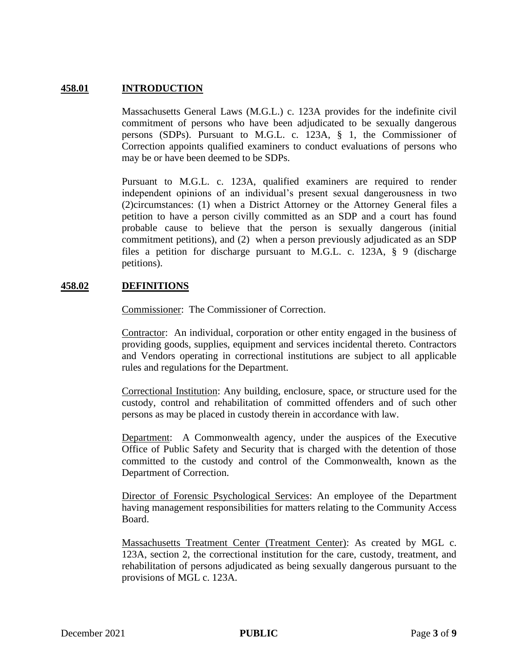# **458.01 INTRODUCTION**

Massachusetts General Laws (M.G.L.) c. 123A provides for the indefinite civil commitment of persons who have been adjudicated to be sexually dangerous persons (SDPs). Pursuant to M.G.L. c. 123A, § 1, the Commissioner of Correction appoints qualified examiners to conduct evaluations of persons who may be or have been deemed to be SDPs.

Pursuant to M.G.L. c. 123A, qualified examiners are required to render independent opinions of an individual's present sexual dangerousness in two (2)circumstances: (1) when a District Attorney or the Attorney General files a petition to have a person civilly committed as an SDP and a court has found probable cause to believe that the person is sexually dangerous (initial commitment petitions), and (2) when a person previously adjudicated as an SDP files a petition for discharge pursuant to M.G.L. c. 123A, § 9 (discharge petitions).

## **458.02 DEFINITIONS**

Commissioner: The Commissioner of Correction.

Contractor: An individual, corporation or other entity engaged in the business of providing goods, supplies, equipment and services incidental thereto. Contractors and Vendors operating in correctional institutions are subject to all applicable rules and regulations for the Department.

Correctional Institution: Any building, enclosure, space, or structure used for the custody, control and rehabilitation of committed offenders and of such other persons as may be placed in custody therein in accordance with law.

Department: A Commonwealth agency, under the auspices of the Executive Office of Public Safety and Security that is charged with the detention of those committed to the custody and control of the Commonwealth, known as the Department of Correction.

Director of Forensic Psychological Services: An employee of the Department having management responsibilities for matters relating to the Community Access Board.

Massachusetts Treatment Center (Treatment Center): As created by MGL c. 123A, section 2, the correctional institution for the care, custody, treatment, and rehabilitation of persons adjudicated as being sexually dangerous pursuant to the provisions of MGL c. 123A.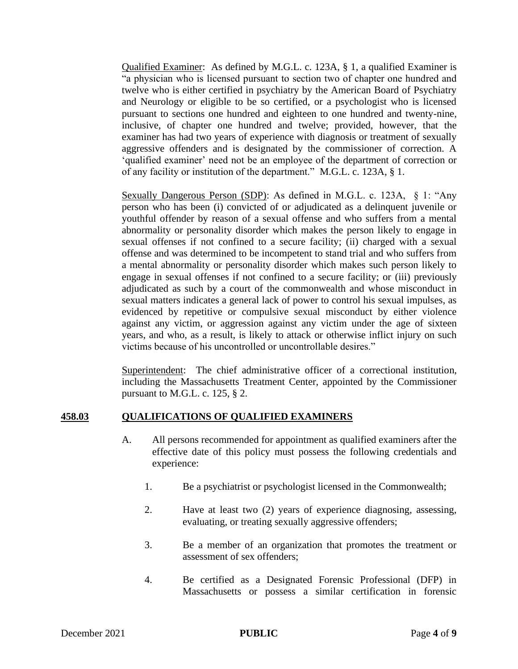Qualified Examiner: As defined by M.G.L. c. 123A, § 1, a qualified Examiner is "a physician who is licensed pursuant to section two of chapter one hundred and twelve who is either certified in psychiatry by the American Board of Psychiatry and Neurology or eligible to be so certified, or a psychologist who is licensed pursuant to sections one hundred and eighteen to one hundred and twenty-nine, inclusive, of chapter one hundred and twelve; provided, however, that the examiner has had two years of experience with diagnosis or treatment of sexually aggressive offenders and is designated by the commissioner of correction. A 'qualified examiner' need not be an employee of the department of correction or of any facility or institution of the department." M.G.L. c. 123A, § 1.

Sexually Dangerous Person (SDP): As defined in M.G.L. c. 123A, § 1: "Any person who has been (i) convicted of or adjudicated as a delinquent juvenile or youthful offender by reason of a sexual offense and who suffers from a mental abnormality or personality disorder which makes the person likely to engage in sexual offenses if not confined to a secure facility; (ii) charged with a sexual offense and was determined to be incompetent to stand trial and who suffers from a mental abnormality or personality disorder which makes such person likely to engage in sexual offenses if not confined to a secure facility; or (iii) previously adjudicated as such by a court of the commonwealth and whose misconduct in sexual matters indicates a general lack of power to control his sexual impulses, as evidenced by repetitive or compulsive sexual misconduct by either violence against any victim, or aggression against any victim under the age of sixteen years, and who, as a result, is likely to attack or otherwise inflict injury on such victims because of his uncontrolled or uncontrollable desires."

Superintendent: The chief administrative officer of a correctional institution, including the Massachusetts Treatment Center, appointed by the Commissioner pursuant to M.G.L. c. 125, § 2.

#### **458.03 QUALIFICATIONS OF QUALIFIED EXAMINERS**

- A. All persons recommended for appointment as qualified examiners after the effective date of this policy must possess the following credentials and experience:
	- 1. Be a psychiatrist or psychologist licensed in the Commonwealth;
	- 2. Have at least two (2) years of experience diagnosing, assessing, evaluating, or treating sexually aggressive offenders;
	- 3. Be a member of an organization that promotes the treatment or assessment of sex offenders;
	- 4. Be certified as a Designated Forensic Professional (DFP) in Massachusetts or possess a similar certification in forensic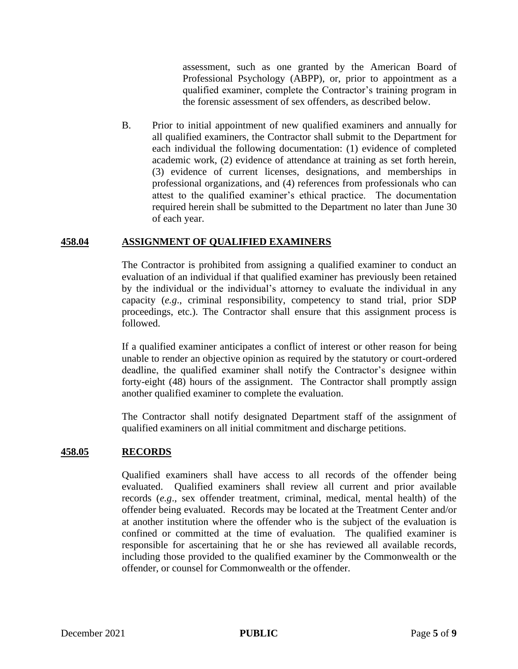assessment, such as one granted by the American Board of Professional Psychology (ABPP), or, prior to appointment as a qualified examiner, complete the Contractor's training program in the forensic assessment of sex offenders, as described below.

B. Prior to initial appointment of new qualified examiners and annually for all qualified examiners, the Contractor shall submit to the Department for each individual the following documentation: (1) evidence of completed academic work, (2) evidence of attendance at training as set forth herein, (3) evidence of current licenses, designations, and memberships in professional organizations, and (4) references from professionals who can attest to the qualified examiner's ethical practice. The documentation required herein shall be submitted to the Department no later than June 30 of each year.

## **458.04 ASSIGNMENT OF QUALIFIED EXAMINERS**

The Contractor is prohibited from assigning a qualified examiner to conduct an evaluation of an individual if that qualified examiner has previously been retained by the individual or the individual's attorney to evaluate the individual in any capacity (*e.g*., criminal responsibility, competency to stand trial, prior SDP proceedings, etc.). The Contractor shall ensure that this assignment process is followed.

If a qualified examiner anticipates a conflict of interest or other reason for being unable to render an objective opinion as required by the statutory or court-ordered deadline, the qualified examiner shall notify the Contractor's designee within forty-eight (48) hours of the assignment. The Contractor shall promptly assign another qualified examiner to complete the evaluation.

The Contractor shall notify designated Department staff of the assignment of qualified examiners on all initial commitment and discharge petitions.

#### **458.05 RECORDS**

Qualified examiners shall have access to all records of the offender being evaluated. Qualified examiners shall review all current and prior available records (*e.g*., sex offender treatment, criminal, medical, mental health) of the offender being evaluated. Records may be located at the Treatment Center and/or at another institution where the offender who is the subject of the evaluation is confined or committed at the time of evaluation. The qualified examiner is responsible for ascertaining that he or she has reviewed all available records, including those provided to the qualified examiner by the Commonwealth or the offender, or counsel for Commonwealth or the offender.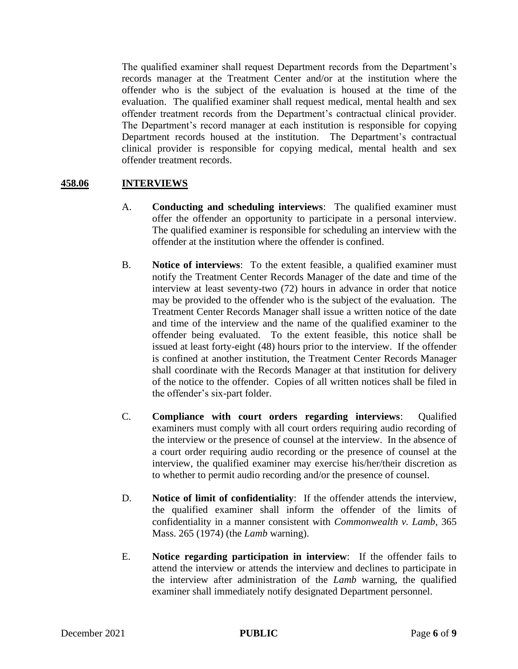The qualified examiner shall request Department records from the Department's records manager at the Treatment Center and/or at the institution where the offender who is the subject of the evaluation is housed at the time of the evaluation. The qualified examiner shall request medical, mental health and sex offender treatment records from the Department's contractual clinical provider. The Department's record manager at each institution is responsible for copying Department records housed at the institution. The Department's contractual clinical provider is responsible for copying medical, mental health and sex offender treatment records.

## **458.06 INTERVIEWS**

- A. **Conducting and scheduling interviews**: The qualified examiner must offer the offender an opportunity to participate in a personal interview. The qualified examiner is responsible for scheduling an interview with the offender at the institution where the offender is confined.
- B. **Notice of interviews**: To the extent feasible, a qualified examiner must notify the Treatment Center Records Manager of the date and time of the interview at least seventy-two (72) hours in advance in order that notice may be provided to the offender who is the subject of the evaluation. The Treatment Center Records Manager shall issue a written notice of the date and time of the interview and the name of the qualified examiner to the offender being evaluated. To the extent feasible, this notice shall be issued at least forty-eight (48) hours prior to the interview. If the offender is confined at another institution, the Treatment Center Records Manager shall coordinate with the Records Manager at that institution for delivery of the notice to the offender. Copies of all written notices shall be filed in the offender's six-part folder.
- C. **Compliance with court orders regarding interviews**: Qualified examiners must comply with all court orders requiring audio recording of the interview or the presence of counsel at the interview. In the absence of a court order requiring audio recording or the presence of counsel at the interview, the qualified examiner may exercise his/her/their discretion as to whether to permit audio recording and/or the presence of counsel.
- D. **Notice of limit of confidentiality**: If the offender attends the interview, the qualified examiner shall inform the offender of the limits of confidentiality in a manner consistent with *Commonwealth v. Lamb*, 365 Mass. 265 (1974) (the *Lamb* warning).
- E. **Notice regarding participation in interview**: If the offender fails to attend the interview or attends the interview and declines to participate in the interview after administration of the *Lamb* warning, the qualified examiner shall immediately notify designated Department personnel.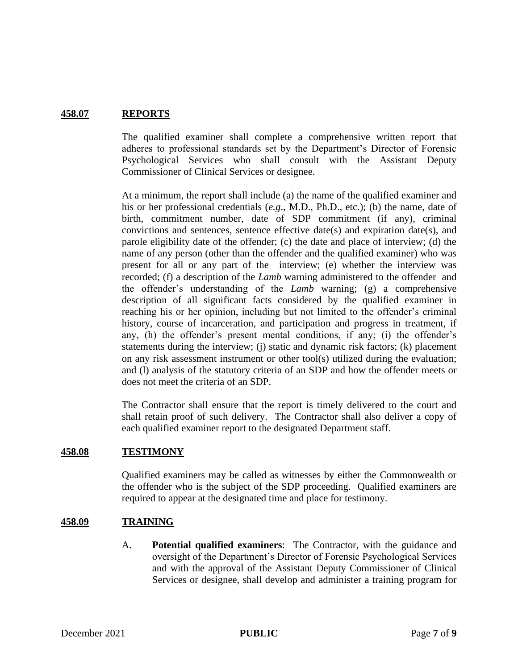# **458.07 REPORTS**

The qualified examiner shall complete a comprehensive written report that adheres to professional standards set by the Department's Director of Forensic Psychological Services who shall consult with the Assistant Deputy Commissioner of Clinical Services or designee.

At a minimum, the report shall include (a) the name of the qualified examiner and his or her professional credentials (*e.g*., M.D., Ph.D., etc.); (b) the name, date of birth, commitment number, date of SDP commitment (if any), criminal convictions and sentences, sentence effective date(s) and expiration date(s), and parole eligibility date of the offender; (c) the date and place of interview; (d) the name of any person (other than the offender and the qualified examiner) who was present for all or any part of the interview; (e) whether the interview was recorded; (f) a description of the *Lamb* warning administered to the offender and the offender's understanding of the *Lamb* warning; (g) a comprehensive description of all significant facts considered by the qualified examiner in reaching his or her opinion, including but not limited to the offender's criminal history, course of incarceration, and participation and progress in treatment, if any, (h) the offender's present mental conditions, if any; (i) the offender's statements during the interview; (j) static and dynamic risk factors; (k) placement on any risk assessment instrument or other tool(s) utilized during the evaluation; and (l) analysis of the statutory criteria of an SDP and how the offender meets or does not meet the criteria of an SDP.

The Contractor shall ensure that the report is timely delivered to the court and shall retain proof of such delivery. The Contractor shall also deliver a copy of each qualified examiner report to the designated Department staff.

#### **458.08 TESTIMONY**

Qualified examiners may be called as witnesses by either the Commonwealth or the offender who is the subject of the SDP proceeding. Qualified examiners are required to appear at the designated time and place for testimony.

#### **458.09 TRAINING**

A. **Potential qualified examiners**: The Contractor, with the guidance and oversight of the Department's Director of Forensic Psychological Services and with the approval of the Assistant Deputy Commissioner of Clinical Services or designee, shall develop and administer a training program for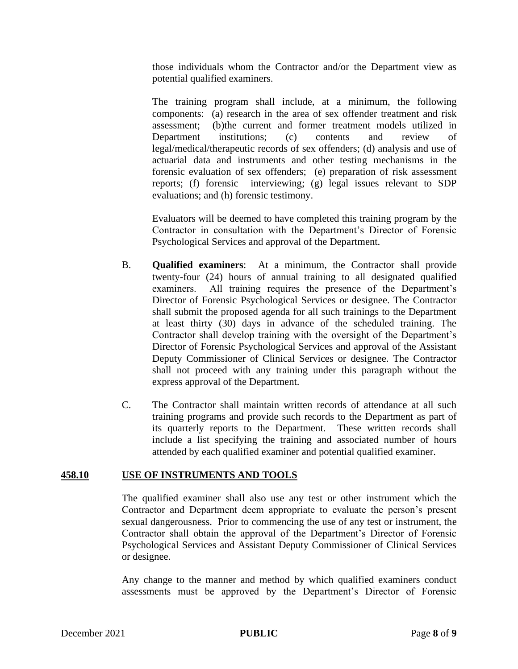those individuals whom the Contractor and/or the Department view as potential qualified examiners.

The training program shall include, at a minimum, the following components: (a) research in the area of sex offender treatment and risk assessment; (b)the current and former treatment models utilized in Department institutions; (c) contents and review of legal/medical/therapeutic records of sex offenders; (d) analysis and use of actuarial data and instruments and other testing mechanisms in the forensic evaluation of sex offenders; (e) preparation of risk assessment reports; (f) forensic interviewing; (g) legal issues relevant to SDP evaluations; and (h) forensic testimony.

Evaluators will be deemed to have completed this training program by the Contractor in consultation with the Department's Director of Forensic Psychological Services and approval of the Department.

- B. **Qualified examiners**: At a minimum, the Contractor shall provide twenty-four (24) hours of annual training to all designated qualified examiners. All training requires the presence of the Department's Director of Forensic Psychological Services or designee. The Contractor shall submit the proposed agenda for all such trainings to the Department at least thirty (30) days in advance of the scheduled training. The Contractor shall develop training with the oversight of the Department's Director of Forensic Psychological Services and approval of the Assistant Deputy Commissioner of Clinical Services or designee. The Contractor shall not proceed with any training under this paragraph without the express approval of the Department.
- C. The Contractor shall maintain written records of attendance at all such training programs and provide such records to the Department as part of its quarterly reports to the Department. These written records shall include a list specifying the training and associated number of hours attended by each qualified examiner and potential qualified examiner.

#### **458.10 USE OF INSTRUMENTS AND TOOLS**

The qualified examiner shall also use any test or other instrument which the Contractor and Department deem appropriate to evaluate the person's present sexual dangerousness. Prior to commencing the use of any test or instrument, the Contractor shall obtain the approval of the Department's Director of Forensic Psychological Services and Assistant Deputy Commissioner of Clinical Services or designee.

Any change to the manner and method by which qualified examiners conduct assessments must be approved by the Department's Director of Forensic